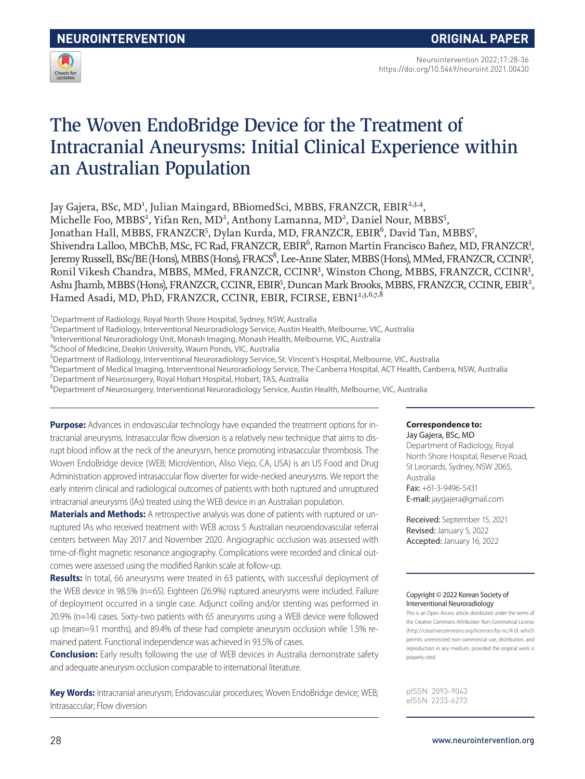

Neurointervention 2022;17:28-36 https://doi.org/10.5469/neuroint.2021.00430

# The Woven EndoBridge Device for the Treatment of Intracranial Aneurysms: Initial Clinical Experience within an Australian Population

Jay Gajera, BSc, MD<sup>1</sup>, Julian Maingard, BBiomedSci, MBBS, FRANZCR, EBIR<sup>2,3,4</sup>, Michelle Foo, MBBS<sup>2</sup>, Yifan Ren, MD<sup>2</sup>, Anthony Lamanna, MD<sup>2</sup>, Daniel Nour, MBBS<sup>5</sup>, Jonathan Hall, MBBS, FRANZCR<sup>5</sup>, Dylan Kurda, MD, FRANZCR, EBIR<sup>6</sup>, David Tan, MBBS<sup>7</sup>, Shivendra Lalloo, MBChB, MSc, FC Rad, FRANZCR, EBIR<sup>6</sup>, Ramon Martin Francisco Bañez, MD, FRANZCR<sup>3</sup>, Jeremy Russell, BSc/BE (Hons), MBBS (Hons), FRACS<sup>8</sup>, Lee-Anne Slater, MBBS (Hons), MMed, FRANZCR, CCINR<sup>3</sup>, Ronil Vikesh Chandra, MBBS, MMed, FRANZCR, CCINR<sup>3</sup>, Winston Chong, MBBS, FRANZCR, CCINR<sup>3</sup>, Ashu Jhamb, MBBS (Hons), FRANZCR, CCINR, EBIR<sup>5</sup>, Duncan Mark Brooks, MBBS, FRANZCR, CCINR, EBIR<sup>2</sup>, Hamed Asadi, MD, PhD, FRANZCR, CCINR, EBIR, FCIRSE, EBNI<sup>2,3,6,7,8</sup>

<sup>1</sup>Department of Radiology, Royal North Shore Hospital, Sydney, NSW, Australia

2 Department of Radiology, Interventional Neuroradiology Service, Austin Health, Melbourne, VIC, Australia

<sup>3</sup>Interventional Neuroradiology Unit, Monash Imaging, Monash Health, Melbourne, VIC, Australia

4 School of Medicine, Deakin University, Waurn Ponds, VIC, Australia

5 Department of Radiology, Interventional Neuroradiology Service, St. Vincent's Hospital, Melbourne, VIC, Australia

6 Department of Medical Imaging, Interventional Neuroradiology Service, The Canberra Hospital, ACT Health, Canberra, NSW, Australia

<sup>7</sup>Department of Neurosurgery, Royal Hobart Hospital, Hobart, TAS, Australia

8 Department of Neurosurgery, Interventional Neuroradiology Service, Austin Health, Melbourne, VIC, Australia

**Purpose:** Advances in endovascular technology have expanded the treatment options for intracranial aneurysms. Intrasaccular flow diversion is a relatively new technique that aims to disrupt blood inflow at the neck of the aneurysm, hence promoting intrasaccular thrombosis. The Woven EndoBridge device (WEB; MicroVention, Aliso Viejo, CA, USA) is an US Food and Drug Administration approved intrasaccular flow diverter for wide-necked aneurysms. We report the early interim clinical and radiological outcomes of patients with both ruptured and unruptured intracranial aneurysms (IAs) treated using the WEB device in an Australian population.

**Materials and Methods:** A retrospective analysis was done of patients with ruptured or unruptured IAs who received treatment with WEB across 5 Australian neuroendovascular referral centers between May 2017 and November 2020. Angiographic occlusion was assessed with time-of-flight magnetic resonance angiography. Complications were recorded and clinical outcomes were assessed using the modified Rankin scale at follow-up.

**Results:** In total, 66 aneurysms were treated in 63 patients, with successful deployment of the WEB device in 98.5% (n=65). Eighteen (26.9%) ruptured aneurysms were included. Failure of deployment occurred in a single case. Adjunct coiling and/or stenting was performed in 20.9% (n=14) cases. Sixty-two patients with 65 aneurysms using a WEB device were followed up (mean=9.1 months), and 89.4% of these had complete aneurysm occlusion while 1.5% remained patent. Functional independence was achieved in 93.5% of cases.

**Conclusion:** Early results following the use of WEB devices in Australia demonstrate safety and adequate aneurysm occlusion comparable to international literature.

**Key Words:** Intracranial aneurysm; Endovascular procedures; Woven EndoBridge device; WEB; Intrasaccular; Flow diversion

# **Correspondence to:**

Jay Gajera, BSc, MD Department of Radiology, Royal North Shore Hospital, Reserve Road, St Leonards, Sydney, NSW 2065, Australia Fax: +61-3-9496-5431 E-mail: jaygajera@gmail.com

Received: September 15, 2021 Revised: January 5, 2022 Accepted: January 16, 2022

#### Copyright © 2022 Korean Society of Interventional Neuroradiology

This is an Open Access article distributed under the terms of the Creative Commons Attribution Non-Commercial License (http://creativecommons.org/licenses/by-nc/4.0) which permits unrestricted non-commercial use, distribution, and reproduction in any medium, provided the original work is properly cited.

pISSN 2093-9043 eISSN 2233-6273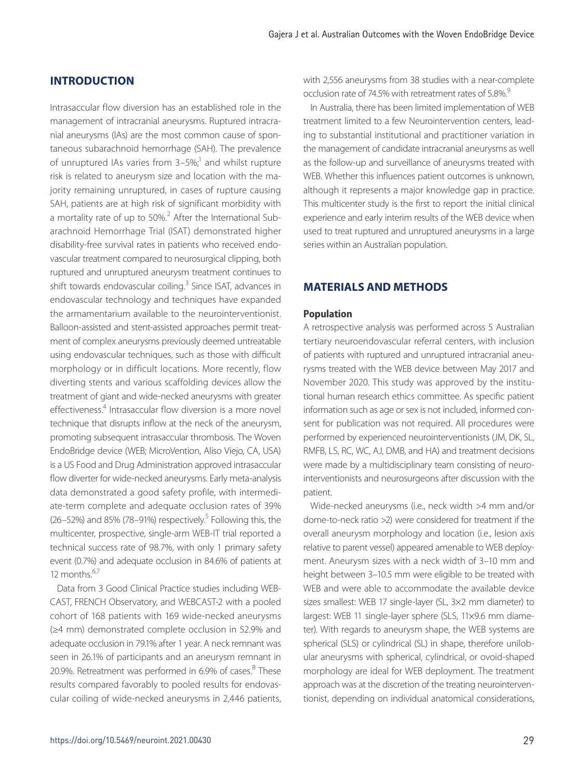# **INTRODUCTION**

Intrasaccular flow diversion has an established role in the management of intracranial aneurysms. Ruptured intracranial aneurysms (IAs) are the most common cause of spontaneous subarachnoid hemorrhage (SAH). The prevalence of unruptured IAs varies from 3–5%;<sup>1</sup> and whilst rupture risk is related to aneurysm size and location with the majority remaining unruptured, in cases of rupture causing SAH, patients are at high risk of significant morbidity with a mortality rate of up to 50%.<sup>2</sup> After the International Subarachnoid Hemorrhage Trial (ISAT) demonstrated higher disability-free survival rates in patients who received endovascular treatment compared to neurosurgical clipping, both ruptured and unruptured aneurysm treatment continues to shift towards endovascular coiling.<sup>3</sup> Since ISAT, advances in endovascular technology and techniques have expanded the armamentarium available to the neurointerventionist. Balloon-assisted and stent-assisted approaches permit treatment of complex aneurysms previously deemed untreatable using endovascular techniques, such as those with difficult morphology or in difficult locations. More recently, flow diverting stents and various scaffolding devices allow the treatment of giant and wide-necked aneurysms with greater effectiveness.<sup>4</sup> Intrasaccular flow diversion is a more novel technique that disrupts inflow at the neck of the aneurysm, promoting subsequent intrasaccular thrombosis. The Woven EndoBridge device (WEB; MicroVention, Aliso Viejo, CA, USA) is a US Food and Drug Administration approved intrasaccular flow diverter for wide-necked aneurysms. Early meta-analysis data demonstrated a good safety profile, with intermediate-term complete and adequate occlusion rates of 39% (26-52%) and 85% (78-91%) respectively.<sup>5</sup> Following this, the multicenter, prospective, single-arm WEB-IT trial reported a technical success rate of 98.7%, with only 1 primary safety event (0.7%) and adequate occlusion in 84.6% of patients at 12 months $6,7$ 

Data from 3 Good Clinical Practice studies including WEB-CAST, FRENCH Observatory, and WEBCAST-2 with a pooled cohort of 168 patients with 169 wide-necked aneurysms (≥4 mm) demonstrated complete occlusion in 52.9% and adequate occlusion in 79.1% after 1 year. A neck remnant was seen in 26.1% of participants and an aneurysm remnant in 20.9%. Retreatment was performed in 6.9% of cases.<sup>8</sup> These results compared favorably to pooled results for endovascular coiling of wide-necked aneurysms in 2,446 patients, with 2,556 aneurysms from 38 studies with a near-complete occlusion rate of 74.5% with retreatment rates of 5.8%.<sup>9</sup>

In Australia, there has been limited implementation of WEB treatment limited to a few Neurointervention centers, leading to substantial institutional and practitioner variation in the management of candidate intracranial aneurysms as well as the follow-up and surveillance of aneurysms treated with WEB. Whether this influences patient outcomes is unknown, although it represents a major knowledge gap in practice. This multicenter study is the first to report the initial clinical experience and early interim results of the WEB device when used to treat ruptured and unruptured aneurysms in a large series within an Australian population.

# **MATERIALS AND METHODS**

#### **Population**

A retrospective analysis was performed across 5 Australian tertiary neuroendovascular referral centers, with inclusion of patients with ruptured and unruptured intracranial aneurysms treated with the WEB device between May 2017 and November 2020. This study was approved by the institutional human research ethics committee. As specific patient information such as age or sex is not included, informed consent for publication was not required. All procedures were performed by experienced neurointerventionists (JM, DK, SL, RMFB, LS, RC, WC, AJ, DMB, and HA) and treatment decisions were made by a multidisciplinary team consisting of neurointerventionists and neurosurgeons after discussion with the patient.

Wide-necked aneurysms (i.e., neck width >4 mm and/or dome-to-neck ratio >2) were considered for treatment if the overall aneurysm morphology and location (i.e., lesion axis relative to parent vessel) appeared amenable to WEB deployment. Aneurysm sizes with a neck width of 3–10 mm and height between 3–10.5 mm were eligible to be treated with WEB and were able to accommodate the available device sizes smallest: WEB 17 single-layer (SL, 3×2 mm diameter) to largest: WEB 11 single-layer sphere (SLS, 11×9.6 mm diameter). With regards to aneurysm shape, the WEB systems are spherical (SLS) or cylindrical (SL) in shape, therefore unilobular aneurysms with spherical, cylindrical, or ovoid-shaped morphology are ideal for WEB deployment. The treatment approach was at the discretion of the treating neurointerventionist, depending on individual anatomical considerations,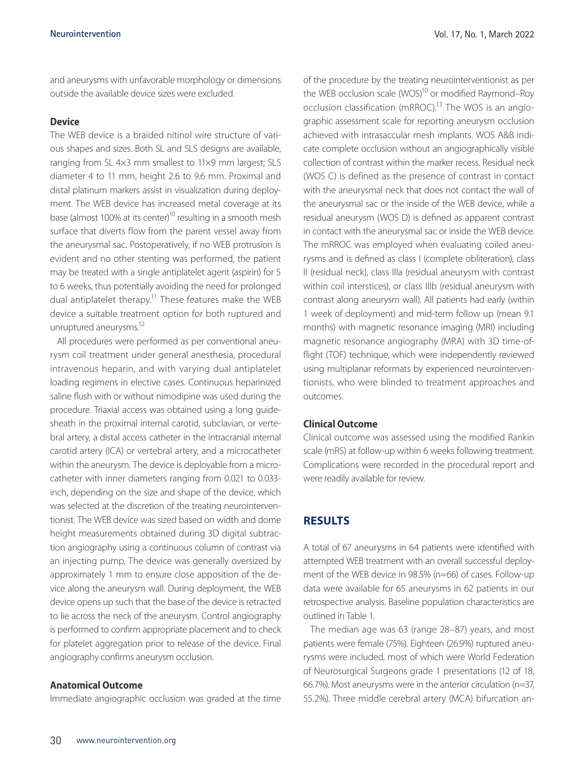and aneurysms with unfavorable morphology or dimensions outside the available device sizes were excluded.

# **Device**

The WEB device is a braided nitinol wire structure of various shapes and sizes. Both SL and SLS designs are available, ranging from SL 4×3 mm smallest to 11×9 mm largest; SLS diameter 4 to 11 mm, height 2.6 to 9.6 mm. Proximal and distal platinum markers assist in visualization during deployment. The WEB device has increased metal coverage at its base (almost 100% at its center)<sup>10</sup> resulting in a smooth mesh surface that diverts flow from the parent vessel away from the aneurysmal sac. Postoperatively, if no WEB protrusion is evident and no other stenting was performed, the patient may be treated with a single antiplatelet agent (aspirin) for 5 to 6 weeks, thus potentially avoiding the need for prolonged dual antiplatelet therapy.<sup>11</sup> These features make the WEB device a suitable treatment option for both ruptured and unruptured aneurysms.<sup>12</sup>

All procedures were performed as per conventional aneurysm coil treatment under general anesthesia, procedural intravenous heparin, and with varying dual antiplatelet loading regimens in elective cases. Continuous heparinized saline flush with or without nimodipine was used during the procedure. Triaxial access was obtained using a long guidesheath in the proximal internal carotid, subclavian, or vertebral artery, a distal access catheter in the intracranial internal carotid artery (ICA) or vertebral artery, and a microcatheter within the aneurysm. The device is deployable from a microcatheter with inner diameters ranging from 0.021 to 0.033 inch, depending on the size and shape of the device, which was selected at the discretion of the treating neurointerventionist. The WEB device was sized based on width and dome height measurements obtained during 3D digital subtraction angiography using a continuous column of contrast via an injecting pump. The device was generally oversized by approximately 1 mm to ensure close apposition of the device along the aneurysm wall. During deployment, the WEB device opens up such that the base of the device is retracted to lie across the neck of the aneurysm. Control angiography is performed to confirm appropriate placement and to check for platelet aggregation prior to release of the device. Final angiography confirms aneurysm occlusion.

# **Anatomical Outcome**

Immediate angiographic occlusion was graded at the time

of the procedure by the treating neurointerventionist as per the WEB occlusion scale (WOS)<sup>10</sup> or modified Raymond–Roy occlusion classification (mRROC).<sup>13</sup> The WOS is an angiographic assessment scale for reporting aneurysm occlusion achieved with intrasaccular mesh implants. WOS A&B indicate complete occlusion without an angiographically visible collection of contrast within the marker recess. Residual neck (WOS C) is defined as the presence of contrast in contact with the aneurysmal neck that does not contact the wall of the aneurysmal sac or the inside of the WEB device, while a residual aneurysm (WOS D) is defined as apparent contrast in contact with the aneurysmal sac or inside the WEB device. The mRROC was employed when evaluating coiled aneurysms and is defined as class I (complete obliteration), class II (residual neck), class IIIa (residual aneurysm with contrast within coil interstices), or class IIIb (residual aneurysm with contrast along aneurysm wall). All patients had early (within 1 week of deployment) and mid-term follow up (mean 9.1 months) with magnetic resonance imaging (MRI) including magnetic resonance angiography (MRA) with 3D time-offlight (TOF) technique, which were independently reviewed using multiplanar reformats by experienced neurointerventionists, who were blinded to treatment approaches and outcomes.

## **Clinical Outcome**

Clinical outcome was assessed using the modified Rankin scale (mRS) at follow-up within 6 weeks following treatment. Complications were recorded in the procedural report and were readily available for review.

# **RESULTS**

A total of 67 aneurysms in 64 patients were identified with attempted WEB treatment with an overall successful deployment of the WEB device in 98.5% (n=66) of cases. Follow-up data were available for 65 aneurysms in 62 patients in our retrospective analysis. Baseline population characteristics are outlined in Table 1.

The median age was 63 (range 28–87) years, and most patients were female (75%). Eighteen (26.9%) ruptured aneurysms were included, most of which were World Federation of Neurosurgical Surgeons grade 1 presentations (12 of 18, 66.7%). Most aneurysms were in the anterior circulation (n=37, 55.2%). Three middle cerebral artery (MCA) bifurcation an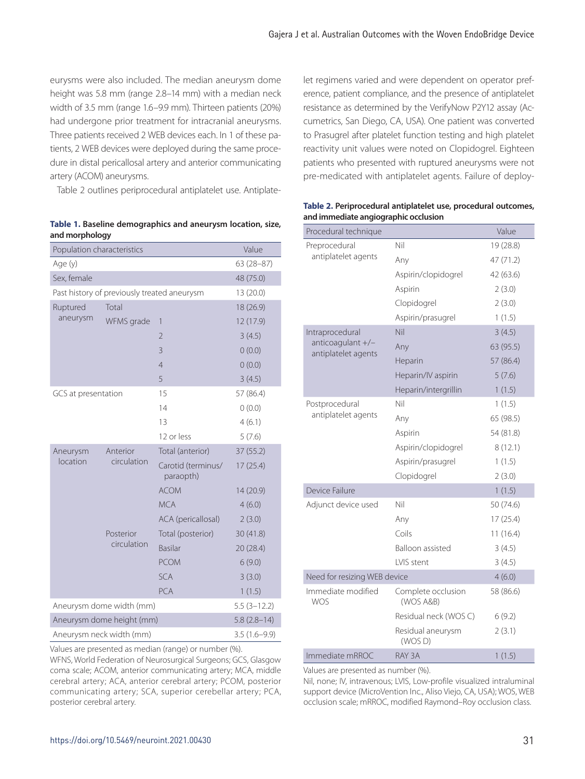eurysms were also included. The median aneurysm dome height was 5.8 mm (range 2.8–14 mm) with a median neck width of 3.5 mm (range 1.6–9.9 mm). Thirteen patients (20%) had undergone prior treatment for intracranial aneurysms. Three patients received 2 WEB devices each. In 1 of these patients, 2 WEB devices were deployed during the same procedure in distal pericallosal artery and anterior communicating artery (ACOM) aneurysms.

Table 2 outlines periprocedural antiplatelet use. Antiplate-

**Table 1. Baseline demographics and aneurysm location, size, and morphology**

| Population characteristics                  | Value                    |                                 |               |
|---------------------------------------------|--------------------------|---------------------------------|---------------|
| Age (y)                                     | 63 (28-87)               |                                 |               |
| Sex, female                                 | 48 (75.0)                |                                 |               |
| Past history of previously treated aneurysm | 13 (20.0)                |                                 |               |
| Ruptured<br>aneurysm                        | Total                    |                                 | 18 (26.9)     |
|                                             | WFMS grade               | 1                               | 12 (17.9)     |
|                                             |                          | $\overline{2}$                  | 3(4.5)        |
|                                             |                          | 3                               | 0(0.0)        |
|                                             |                          | $\overline{4}$                  | 0(0.0)        |
|                                             |                          | 5                               | 3(4.5)        |
| GCS at presentation                         |                          | 15                              | 57 (86.4)     |
|                                             |                          | 14                              | 0(0.0)        |
|                                             |                          | 13                              | 4(6.1)        |
|                                             |                          | 12 or less                      | 5(7.6)        |
| Aneurysm<br>location                        | Anterior<br>circulation  | Total (anterior)                | 37(55.2)      |
|                                             |                          | Carotid (terminus/<br>paraopth) | 17(25.4)      |
|                                             |                          | <b>ACOM</b>                     | 14 (20.9)     |
|                                             |                          | <b>MCA</b>                      | 4(6.0)        |
|                                             |                          | ACA (pericallosal)              | 2(3.0)        |
|                                             | Posterior<br>circulation | Total (posterior)               | 30(41.8)      |
|                                             |                          | <b>Basilar</b>                  | 20 (28.4)     |
|                                             |                          | <b>PCOM</b>                     | 6(9.0)        |
|                                             |                          | <b>SCA</b>                      | 3(3.0)        |
|                                             |                          | <b>PCA</b>                      | 1(1.5)        |
| Aneurysm dome width (mm)                    |                          |                                 | $5.5(3-12.2)$ |
| Aneurysm dome height (mm)                   | $5.8(2.8-14)$            |                                 |               |
| Aneurysm neck width (mm)                    | $3.5(1.6-9.9)$           |                                 |               |

Values are presented as median (range) or number (%).

WFNS, World Federation of Neurosurgical Surgeons; GCS, Glasgow coma scale; ACOM, anterior communicating artery; MCA, middle cerebral artery; ACA, anterior cerebral artery; PCOM, posterior communicating artery; SCA, superior cerebellar artery; PCA, posterior cerebral artery.

let regimens varied and were dependent on operator preference, patient compliance, and the presence of antiplatelet resistance as determined by the VerifyNow P2Y12 assay (Accumetrics, San Diego, CA, USA). One patient was converted to Prasugrel after platelet function testing and high platelet reactivity unit values were noted on Clopidogrel. Eighteen patients who presented with ruptured aneurysms were not pre-medicated with antiplatelet agents. Failure of deploy-

| Procedural technique                     |                                 | Value     |
|------------------------------------------|---------------------------------|-----------|
| Preprocedural                            | Nil                             | 19 (28.8) |
| antiplatelet agents                      | Any                             | 47 (71.2) |
|                                          | Aspirin/clopidogrel             | 42 (63.6) |
|                                          | Aspirin                         | 2(3.0)    |
|                                          | Clopidogrel                     | 2(3.0)    |
|                                          | Aspirin/prasugrel               | 1(1.5)    |
| Intraprocedural                          | Nil                             | 3(4.5)    |
| anticoagulant +/-<br>antiplatelet agents | Any                             | 63 (95.5) |
|                                          | Heparin                         | 57 (86.4) |
|                                          | Heparin/IV aspirin              | 5(7.6)    |
|                                          | Heparin/intergrillin            | 1(1.5)    |
| Postprocedural                           | Nil                             | 1(1.5)    |
| antiplatelet agents                      | Any                             | 65 (98.5) |
|                                          | Aspirin                         | 54 (81.8) |
|                                          | Aspirin/clopidogrel             | 8(12.1)   |
|                                          | Aspirin/prasugrel               | 1(1.5)    |
|                                          | Clopidogrel                     | 2(3.0)    |
| Device Failure                           |                                 | 1(1.5)    |
| Adjunct device used                      | Nil                             | 50 (74.6) |
|                                          | Any                             | 17(25.4)  |
|                                          | Coils                           | 11(16.4)  |
|                                          | Balloon assisted                | 3(4.5)    |
|                                          | <b>IVIS</b> stent               | 3(4.5)    |
| Need for resizing WEB device             |                                 | 4(6.0)    |
| Immediate modified<br>WOS                | Complete occlusion<br>(WOS A&B) | 58 (86.6) |
|                                          | Residual neck (WOS C)           | 6(9.2)    |
|                                          | Residual aneurysm<br>(WOS D)    | 2(3.1)    |
| Immediate mRROC                          | RAY 3A                          | 1(1.5)    |

**Table 2. Periprocedural antiplatelet use, procedural outcomes, and immediate angiographic occlusion**

Values are presented as number (%).

Nil, none; IV, intravenous; LVIS, Low-profile visualized intraluminal support device (MicroVention Inc., Aliso Viejo, CA, USA); WOS, WEB occlusion scale; mRROC, modified Raymond–Roy occlusion class.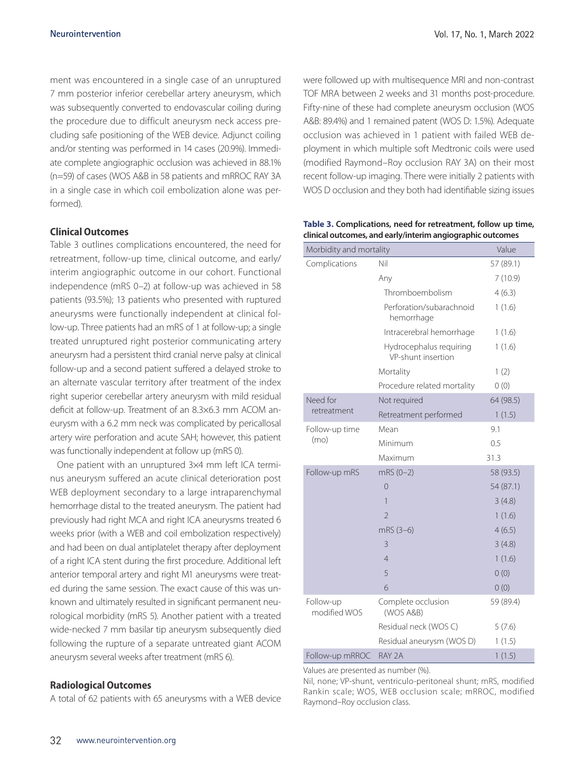ment was encountered in a single case of an unruptured 7 mm posterior inferior cerebellar artery aneurysm, which was subsequently converted to endovascular coiling during the procedure due to difficult aneurysm neck access precluding safe positioning of the WEB device. Adjunct coiling and/or stenting was performed in 14 cases (20.9%). Immediate complete angiographic occlusion was achieved in 88.1% (n=59) of cases (WOS A&B in 58 patients and mRROC RAY 3A in a single case in which coil embolization alone was performed).

# **Clinical Outcomes**

Table 3 outlines complications encountered, the need for retreatment, follow-up time, clinical outcome, and early/ interim angiographic outcome in our cohort. Functional independence (mRS 0–2) at follow-up was achieved in 58 patients (93.5%); 13 patients who presented with ruptured aneurysms were functionally independent at clinical follow-up. Three patients had an mRS of 1 at follow-up; a single treated unruptured right posterior communicating artery aneurysm had a persistent third cranial nerve palsy at clinical follow-up and a second patient suffered a delayed stroke to an alternate vascular territory after treatment of the index right superior cerebellar artery aneurysm with mild residual deficit at follow-up. Treatment of an 8.3×6.3 mm ACOM aneurysm with a 6.2 mm neck was complicated by pericallosal artery wire perforation and acute SAH; however, this patient was functionally independent at follow up (mRS 0).

One patient with an unruptured 3×4 mm left ICA terminus aneurysm suffered an acute clinical deterioration post WEB deployment secondary to a large intraparenchymal hemorrhage distal to the treated aneurysm. The patient had previously had right MCA and right ICA aneurysms treated 6 weeks prior (with a WEB and coil embolization respectively) and had been on dual antiplatelet therapy after deployment of a right ICA stent during the first procedure. Additional left anterior temporal artery and right M1 aneurysms were treated during the same session. The exact cause of this was unknown and ultimately resulted in significant permanent neurological morbidity (mRS 5). Another patient with a treated wide-necked 7 mm basilar tip aneurysm subsequently died following the rupture of a separate untreated giant ACOM aneurysm several weeks after treatment (mRS 6).

#### **Radiological Outcomes**

A total of 62 patients with 65 aneurysms with a WEB device

were followed up with multisequence MRI and non-contrast TOF MRA between 2 weeks and 31 months post-procedure. Fifty-nine of these had complete aneurysm occlusion (WOS A&B: 89.4%) and 1 remained patent (WOS D: 1.5%). Adequate occlusion was achieved in 1 patient with failed WEB deployment in which multiple soft Medtronic coils were used (modified Raymond–Roy occlusion RAY 3A) on their most recent follow-up imaging. There were initially 2 patients with WOS D occlusion and they both had identifiable sizing issues

**Table 3. Complications, need for retreatment, follow up time, clinical outcomes, and early/interim angiographic outcomes**

| Morbidity and mortality   |                                               | Value     |
|---------------------------|-----------------------------------------------|-----------|
| Complications             | Nil                                           | 57 (89.1) |
|                           | Any                                           | 7(10.9)   |
|                           | Thromboembolism                               | 4(6.3)    |
|                           | Perforation/subarachnoid<br>hemorrhage        | 1(1.6)    |
|                           | Intracerebral hemorrhage                      | 1(1.6)    |
|                           | Hydrocephalus requiring<br>VP-shunt insertion | 1(1.6)    |
|                           | Mortality                                     | 1(2)      |
|                           | Procedure related mortality                   | 0(0)      |
| Need for                  | Not required                                  | 64 (98.5) |
| retreatment               | Retreatment performed                         | 1(1.5)    |
| Follow-up time            | Mean                                          | 9.1       |
| (mo)                      | Minimum                                       | 0.5       |
|                           | Maximum                                       | 31.3      |
| Follow-up mRS             | $mRS(0-2)$                                    | 58 (93.5) |
|                           | 0                                             | 54 (87.1) |
|                           | 1                                             | 3(4.8)    |
|                           | $\overline{2}$                                | 1(1.6)    |
|                           | mRS (3-6)                                     | 4(6.5)    |
|                           | 3                                             | 3(4.8)    |
|                           | $\overline{4}$                                | 1(1.6)    |
|                           | 5                                             | 0(0)      |
|                           | 6                                             | 0(0)      |
| Follow-up<br>modified WOS | Complete occlusion<br>(WOS A&B)               | 59 (89.4) |
|                           | Residual neck (WOS C)                         | 5(7.6)    |
|                           | Residual aneurysm (WOS D)                     | 1(1.5)    |
| Follow-up mRROC           | RAY 2A                                        | 1(1.5)    |

Values are presented as number (%).

Nil, none; VP-shunt, ventriculo-peritoneal shunt; mRS, modified Rankin scale; WOS, WEB occlusion scale; mRROC, modified Raymond–Roy occlusion class.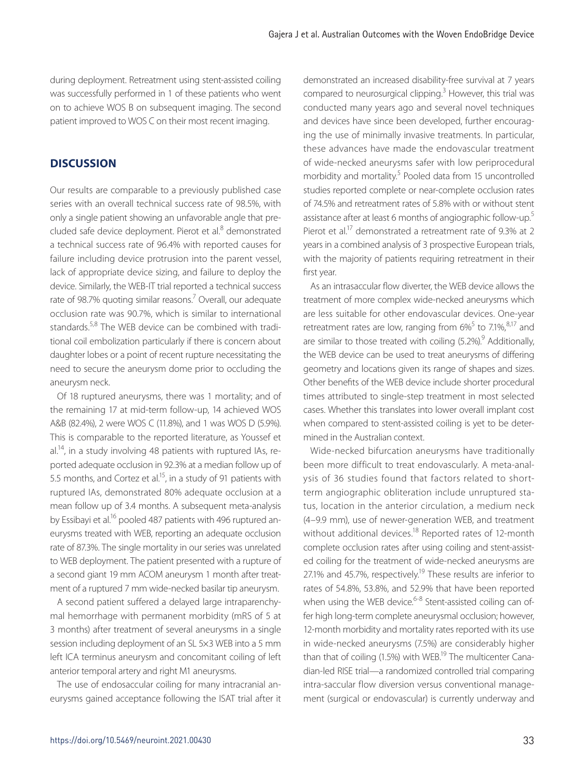during deployment. Retreatment using stent-assisted coiling was successfully performed in 1 of these patients who went on to achieve WOS B on subsequent imaging. The second patient improved to WOS C on their most recent imaging.

# **DISCUSSION**

Our results are comparable to a previously published case series with an overall technical success rate of 98.5%, with only a single patient showing an unfavorable angle that precluded safe device deployment. Pierot et al.<sup>8</sup> demonstrated a technical success rate of 96.4% with reported causes for failure including device protrusion into the parent vessel, lack of appropriate device sizing, and failure to deploy the device. Similarly, the WEB-IT trial reported a technical success rate of 98.7% quoting similar reasons.<sup>7</sup> Overall, our adequate occlusion rate was 90.7%, which is similar to international standards.<sup>5,8</sup> The WEB device can be combined with traditional coil embolization particularly if there is concern about daughter lobes or a point of recent rupture necessitating the need to secure the aneurysm dome prior to occluding the aneurysm neck.

Of 18 ruptured aneurysms, there was 1 mortality; and of the remaining 17 at mid-term follow-up, 14 achieved WOS A&B (82.4%), 2 were WOS C (11.8%), and 1 was WOS D (5.9%). This is comparable to the reported literature, as Youssef et  $al^{14}$ , in a study involving 48 patients with ruptured IAs, reported adequate occlusion in 92.3% at a median follow up of 5.5 months, and Cortez et al.<sup>15</sup>, in a study of 91 patients with ruptured IAs, demonstrated 80% adequate occlusion at a mean follow up of 3.4 months. A subsequent meta-analysis by Essibayi et al.<sup>16</sup> pooled 487 patients with 496 ruptured aneurysms treated with WEB, reporting an adequate occlusion rate of 87.3%. The single mortality in our series was unrelated to WEB deployment. The patient presented with a rupture of a second giant 19 mm ACOM aneurysm 1 month after treatment of a ruptured 7 mm wide-necked basilar tip aneurysm.

A second patient suffered a delayed large intraparenchymal hemorrhage with permanent morbidity (mRS of 5 at 3 months) after treatment of several aneurysms in a single session including deployment of an SL 5×3 WEB into a 5 mm left ICA terminus aneurysm and concomitant coiling of left anterior temporal artery and right M1 aneurysms.

The use of endosaccular coiling for many intracranial aneurysms gained acceptance following the ISAT trial after it demonstrated an increased disability-free survival at 7 years compared to neurosurgical clipping.<sup>3</sup> However, this trial was conducted many years ago and several novel techniques and devices have since been developed, further encouraging the use of minimally invasive treatments. In particular, these advances have made the endovascular treatment of wide-necked aneurysms safer with low periprocedural morbidity and mortality.<sup>5</sup> Pooled data from 15 uncontrolled studies reported complete or near-complete occlusion rates of 74.5% and retreatment rates of 5.8% with or without stent assistance after at least 6 months of angiographic follow-up.<sup>5</sup> Pierot et al.<sup>17</sup> demonstrated a retreatment rate of 9.3% at 2 years in a combined analysis of 3 prospective European trials, with the majority of patients requiring retreatment in their first year.

As an intrasaccular flow diverter, the WEB device allows the treatment of more complex wide-necked aneurysms which are less suitable for other endovascular devices. One-year retreatment rates are low, ranging from  $6\%^5$  to 7.1%, $^{8,17}$  and are similar to those treated with coiling (5.2%).<sup>9</sup> Additionally, the WEB device can be used to treat aneurysms of differing geometry and locations given its range of shapes and sizes. Other benefits of the WEB device include shorter procedural times attributed to single-step treatment in most selected cases. Whether this translates into lower overall implant cost when compared to stent-assisted coiling is yet to be determined in the Australian context.

Wide-necked bifurcation aneurysms have traditionally been more difficult to treat endovascularly. A meta-analysis of 36 studies found that factors related to shortterm angiographic obliteration include unruptured status, location in the anterior circulation, a medium neck (4–9.9 mm), use of newer-generation WEB, and treatment without additional devices.<sup>18</sup> Reported rates of 12-month complete occlusion rates after using coiling and stent-assisted coiling for the treatment of wide-necked aneurysms are 27.1% and 45.7%, respectively.<sup>19</sup> These results are inferior to rates of 54.8%, 53.8%, and 52.9% that have been reported when using the WEB device.<sup>6-8</sup> Stent-assisted coiling can offer high long-term complete aneurysmal occlusion; however, 12-month morbidity and mortality rates reported with its use in wide-necked aneurysms (7.5%) are considerably higher than that of coiling  $(1.5%)$  with WEB.<sup>19</sup> The multicenter Canadian-led RISE trial—a randomized controlled trial comparing intra-saccular flow diversion versus conventional management (surgical or endovascular) is currently underway and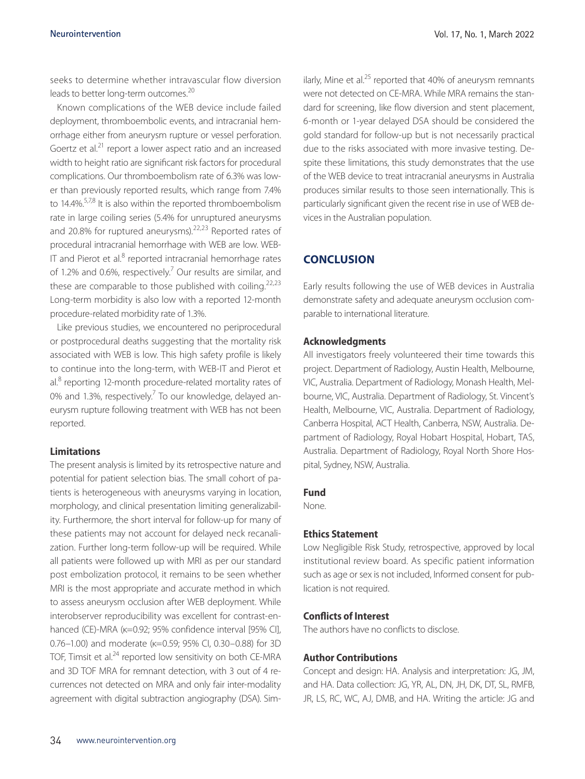seeks to determine whether intravascular flow diversion leads to better long-term outcomes.<sup>20</sup>

Known complications of the WEB device include failed deployment, thromboembolic events, and intracranial hemorrhage either from aneurysm rupture or vessel perforation. Goertz et al.<sup>21</sup> report a lower aspect ratio and an increased width to height ratio are significant risk factors for procedural complications. Our thromboembolism rate of 6.3% was lower than previously reported results, which range from 7.4% to  $14.4\%$ <sup>5,7,8</sup> It is also within the reported thromboembolism rate in large coiling series (5.4% for unruptured aneurysms and 20.8% for ruptured aneurysms).<sup>22,23</sup> Reported rates of procedural intracranial hemorrhage with WEB are low. WEB-IT and Pierot et al. $8$  reported intracranial hemorrhage rates of 1.2% and 0.6%, respectively.<sup>7</sup> Our results are similar, and these are comparable to those published with coiling.<sup>22,23</sup> Long-term morbidity is also low with a reported 12-month procedure-related morbidity rate of 1.3%.

Like previous studies, we encountered no periprocedural or postprocedural deaths suggesting that the mortality risk associated with WEB is low. This high safety profile is likely to continue into the long-term, with WEB-IT and Pierot et al.<sup>8</sup> reporting 12-month procedure-related mortality rates of 0% and 1.3%, respectively.<sup>7</sup> To our knowledge, delayed aneurysm rupture following treatment with WEB has not been reported.

#### **Limitations**

The present analysis is limited by its retrospective nature and potential for patient selection bias. The small cohort of patients is heterogeneous with aneurysms varying in location, morphology, and clinical presentation limiting generalizability. Furthermore, the short interval for follow-up for many of these patients may not account for delayed neck recanalization. Further long-term follow-up will be required. While all patients were followed up with MRI as per our standard post embolization protocol, it remains to be seen whether MRI is the most appropriate and accurate method in which to assess aneurysm occlusion after WEB deployment. While interobserver reproducibility was excellent for contrast-enhanced (CE)-MRA (κ=0.92; 95% confidence interval [95% CI], 0.76–1.00) and moderate (κ=0.59; 95% CI, 0.30–0.88) for 3D TOF, Timsit et al.<sup>24</sup> reported low sensitivity on both CE-MRA and 3D TOF MRA for remnant detection, with 3 out of 4 recurrences not detected on MRA and only fair inter-modality agreement with digital subtraction angiography (DSA). Similarly, Mine et al. $^{25}$  reported that 40% of aneurysm remnants were not detected on CE-MRA. While MRA remains the standard for screening, like flow diversion and stent placement, 6-month or 1-year delayed DSA should be considered the gold standard for follow-up but is not necessarily practical due to the risks associated with more invasive testing. Despite these limitations, this study demonstrates that the use of the WEB device to treat intracranial aneurysms in Australia produces similar results to those seen internationally. This is particularly significant given the recent rise in use of WEB devices in the Australian population.

# **CONCLUSION**

Early results following the use of WEB devices in Australia demonstrate safety and adequate aneurysm occlusion comparable to international literature.

#### **Acknowledgments**

All investigators freely volunteered their time towards this project. Department of Radiology, Austin Health, Melbourne, VIC, Australia. Department of Radiology, Monash Health, Melbourne, VIC, Australia. Department of Radiology, St. Vincent's Health, Melbourne, VIC, Australia. Department of Radiology, Canberra Hospital, ACT Health, Canberra, NSW, Australia. Department of Radiology, Royal Hobart Hospital, Hobart, TAS, Australia. Department of Radiology, Royal North Shore Hospital, Sydney, NSW, Australia.

#### **Fund**

None.

## **Ethics Statement**

Low Negligible Risk Study, retrospective, approved by local institutional review board. As specific patient information such as age or sex is not included, Informed consent for publication is not required.

# **Conflicts of Interest**

The authors have no conflicts to disclose.

## **Author Contributions**

Concept and design: HA. Analysis and interpretation: JG, JM, and HA. Data collection: JG, YR, AL, DN, JH, DK, DT, SL, RMFB, JR, LS, RC, WC, AJ, DMB, and HA. Writing the article: JG and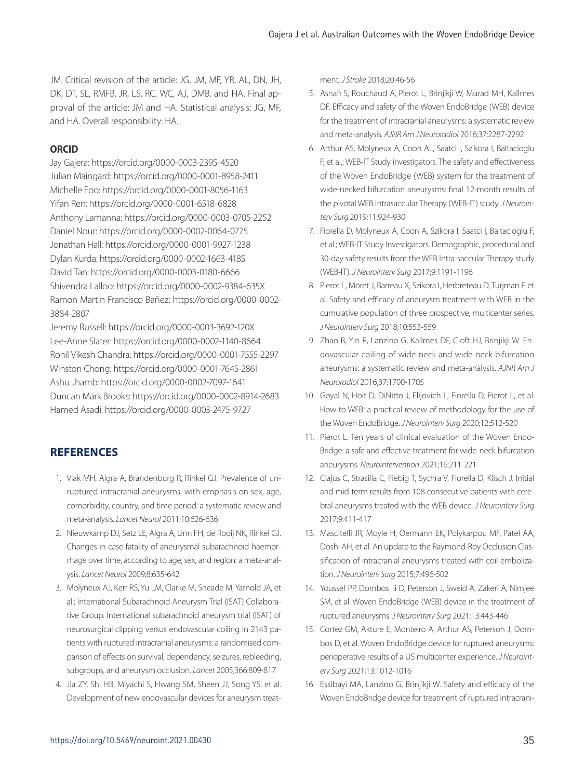JM. Critical revision of the article: JG, JM, MF, YR, AL, DN, JH, DK, DT, SL, RMFB, JR, LS, RC, WC, AJ, DMB, and HA. Final approval of the article: JM and HA. Statistical analysis: JG, MF, and HA. Overall responsibility: HA.

# **ORCID**

Jay Gajera: https://orcid.org/0000-0003-2395-4520 Julian Maingard: https://orcid.org/0000-0001-8958-2411 Michelle Foo: https://orcid.org/0000-0001-8056-1163 Yifan Ren: https://orcid.org/0000-0001-6518-6828 Anthony Lamanna: https://orcid.org/0000-0003-0705-2252 Daniel Nour: https://orcid.org/0000-0002-0064-0775 Jonathan Hall: https://orcid.org/0000-0001-9927-1238 Dylan Kurda: https://orcid.org/0000-0002-1663-4185 David Tan: https://orcid.org/0000-0003-0180-6666 Shivendra Lalloo: https://orcid.org/0000-0002-9384-635X Ramon Martin Francisco Bañez: https://orcid.org/0000-0002- 3884-2807

Jeremy Russell: https://orcid.org/0000-0003-3692-120X Lee-Anne Slater: https://orcid.org/0000-0002-1140-8664 Ronil Vikesh Chandra: https://orcid.org/0000-0001-7555-2297 Winston Chong: https://orcid.org/0000-0001-7645-2861 Ashu Jhamb: https://orcid.org/0000-0002-7097-1641 Duncan Mark Brooks: https://orcid.org/0000-0002-8914-2683 Hamed Asadi: https://orcid.org/0000-0003-2475-9727

# **REFERENCES**

- 1. Vlak MH, Algra A, Brandenburg R, Rinkel GJ. Prevalence of unruptured intracranial aneurysms, with emphasis on sex, age, comorbidity, country, and time period: a systematic review and meta-analysis. *Lancet Neurol* 2011;10:626-636
- 2. Nieuwkamp DJ, Setz LE, Algra A, Linn FH, de Rooij NK, Rinkel GJ. Changes in case fatality of aneurysmal subarachnoid haemorrhage over time, according to age, sex, and region: a meta-analysis. *Lancet Neurol* 2009;8:635-642
- 3. Molyneux AJ, Kerr RS, Yu LM, Clarke M, Sneade M, Yarnold JA, et al.; International Subarachnoid Aneurysm Trial (ISAT) Collaborative Group. International subarachnoid aneurysm trial (ISAT) of neurosurgical clipping versus endovascular coiling in 2143 patients with ruptured intracranial aneurysms: a randomised comparison of effects on survival, dependency, seizures, rebleeding, subgroups, and aneurysm occlusion. *Lancet* 2005;366:809-817
- 4. Jia ZY, Shi HB, Miyachi S, Hwang SM, Sheen JJ, Song YS, et al. Development of new endovascular devices for aneurysm treat-

ment. *J Stroke* 2018;20:46-56

- 5. Asnafi S, Rouchaud A, Pierot L, Brinjikji W, Murad MH, Kallmes DF. Efficacy and safety of the Woven EndoBridge (WEB) device for the treatment of intracranial aneurysms: a systematic review and meta-analysis. *AJNR Am J Neuroradiol* 2016;37:2287-2292
- 6. Arthur AS, Molyneux A, Coon AL, Saatci I, Szikora I, Baltacioglu F, et al.; WEB-IT Study investigators. The safety and effectiveness of the Woven EndoBridge (WEB) system for the treatment of wide-necked bifurcation aneurysms: final 12-month results of the pivotal WEB Intrasaccular Therapy (WEB-IT) study. *J Neurointerv Surg* 2019;11:924-930
- 7. Fiorella D, Molyneux A, Coon A, Szikora I, Saatci I, Baltacioglu F, et al.; WEB-IT Study Investigators. Demographic, procedural and 30-day safety results from the WEB Intra-saccular Therapy study (WEB-IT). *J Neurointerv Surg* 2017;9:1191-1196
- 8. Pierot L, Moret J, Barreau X, Szikora I, Herbreteau D, Turjman F, et al. Safety and efficacy of aneurysm treatment with WEB in the cumulative population of three prospective, multicenter series. *J Neurointerv Surg* 2018;10:553-559
- 9. Zhao B, Yin R, Lanzino G, Kallmes DF, Cloft HJ, Brinjikji W. Endovascular coiling of wide-neck and wide-neck bifurcation aneurysms: a systematic review and meta-analysis. *AJNR Am J Neuroradiol* 2016;37:1700-1705
- 10. Goyal N, Hoit D, DiNitto J, Elijovich L, Fiorella D, Pierot L, et al. How to WEB: a practical review of methodology for the use of the Woven EndoBridge. *J Neurointerv Surg* 2020;12:512-520
- 11. Pierot L. Ten years of clinical evaluation of the Woven Endo-Bridge: a safe and effective treatment for wide-neck bifurcation aneurysms. *Neurointervention* 2021;16:211-221
- 12. Clajus C, Strasilla C, Fiebig T, Sychra V, Fiorella D, Klisch J. Initial and mid-term results from 108 consecutive patients with cerebral aneurysms treated with the WEB device. *J Neurointerv Surg* 2017;9:411-417
- 13. Mascitelli JR, Moyle H, Oermann EK, Polykarpou MF, Patel AA, Doshi AH, et al. An update to the Raymond-Roy Occlusion Classification of intracranial aneurysms treated with coil embolization. *J Neurointerv Surg* 2015;7:496-502
- 14. Youssef PP, Dornbos Iii D, Peterson J, Sweid A, Zakeri A, Nimjee SM, et al. Woven EndoBridge (WEB) device in the treatment of ruptured aneurysms. *J Neurointerv Surg* 2021;13:443-446
- 15. Cortez GM, Akture E, Monteiro A, Arthur AS, Peterson J, Dornbos D, et al. Woven EndoBridge device for ruptured aneurysms: perioperative results of a US multicenter experience. *J Neurointerv Surg* 2021;13:1012-1016
- 16. Essibayi MA, Lanzino G, Brinjikji W. Safety and efficacy of the Woven EndoBridge device for treatment of ruptured intracrani-